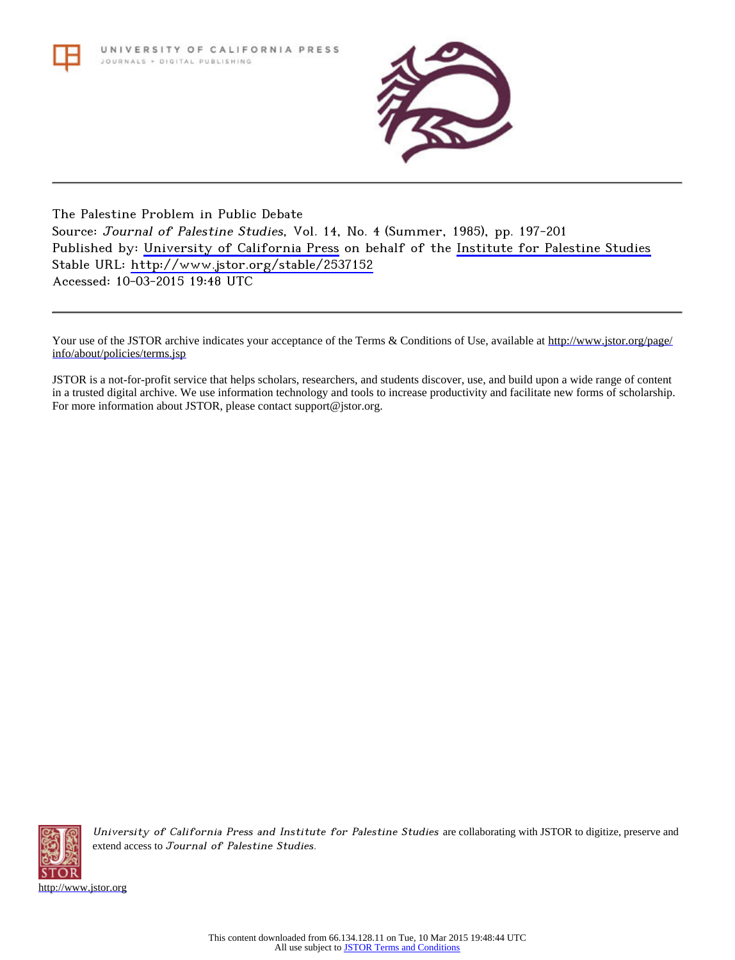

## The Palestine Problem in Public Debate Source: Journal of Palestine Studies, Vol. 14, No. 4 (Summer, 1985), pp. 197-201 Published by: [University of California Press](http://www.jstor.org/action/showPublisher?publisherCode=ucal) on behalf of the [Institute for Palestine Studies](http://www.jstor.org/action/showPublisher?publisherCode=palstud) Stable URL: <http://www.jstor.org/stable/2537152> Accessed: 10-03-2015 19:48 UTC

Your use of the JSTOR archive indicates your acceptance of the Terms & Conditions of Use, available at [http://www.jstor.org/page/](http://www.jstor.org/page/info/about/policies/terms.jsp) [info/about/policies/terms.jsp](http://www.jstor.org/page/info/about/policies/terms.jsp)

JSTOR is a not-for-profit service that helps scholars, researchers, and students discover, use, and build upon a wide range of content in a trusted digital archive. We use information technology and tools to increase productivity and facilitate new forms of scholarship. For more information about JSTOR, please contact support@jstor.org.



University of California Press and Institute for Palestine Studies are collaborating with JSTOR to digitize, preserve and extend access to Journal of Palestine Studies.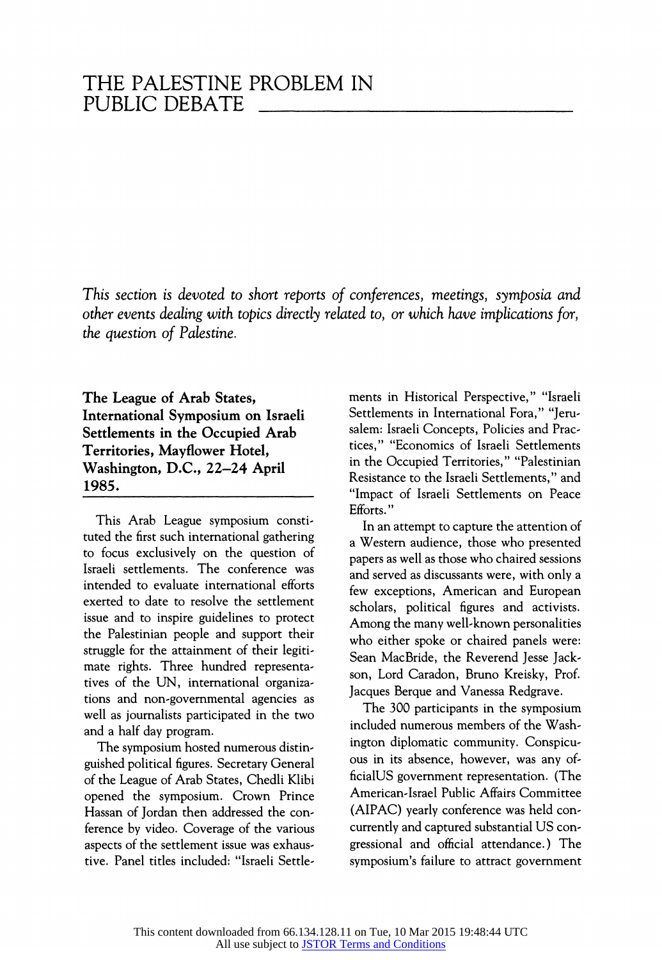This section is devoted to short reports of conferences, meetings, symposia and other events dealing with topics directly related to, or which have implications for, the question of Palestine.

The League of Arab States, International Symposium on Israeli Settlements in the Occupied Arab Territories, Mayflower Hotel, Washington, D.C., 22-24 April 1985.

This Arab League symposium constituted the first such international gathering to focus exclusively on the question of Israeli settlements. The conference was intended to evaluate international efforts exerted to date to resolve the settlement issue and to inspire guidelines to protect the Palestinian people and support their struggle for the attainment of their legitimate rights. Three hundred representatives of the UN, international organizations and non-governmental agencies as well as journalists participated in the two and a half day program.

The symposium hosted numerous distinguished political figures. Secretary General of the League of Arab States, Chedli Klibi opened the symposium. Crown Prince Hassan of Jordan then addressed the conference by video. Coverage of the various aspects of the settlement issue was exhaustive. Panel titles included: "Israeli Settle-

ments in Historical Perspective," "Israeli Settlements in International Fora," "Jerusalem: Israeli Concepts, Policies and Practices," "Economics of Israeli Settlements in the Occupied Territories," "Palestinian Resistance to the Israeli Settlements," and "Impact of Israeli Settlements on Peace Efforts."

In an attempt to capture the attention of a Western audience, those who presented papers as well as those who chaired sessions and served as discussants were, with only a few exceptions, American and European scholars, political figures and activists. Among the many well-known personalities who either spoke or chaired panels were: Sean MacBride, the Reverend Jesse Jackson, Lord Caradon, Bruno Kreisky, Prof. Jacques Berque and Vanessa Redgrave.

The 300 participants in the symposium included numerous members of the Washington diplomatic community. Conspicuous in its absence, however, was any officialUS government representation. (The American-Israel Public Affairs Committee (AIPAC) yearly conference was held concurrently and captured substantial US congressional and official attendance.) The symposium's failure to attract government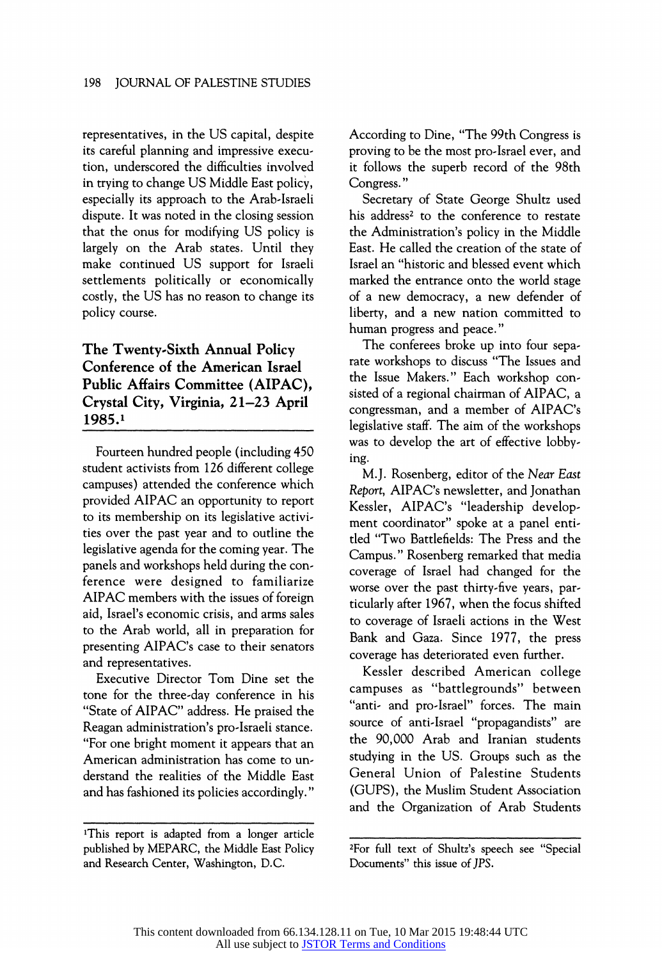representatives, in the US capital, despite its careful planning and impressive execution, underscored the difficulties involved in trying to change US Middle East policy, especially its approach to the Arab-Israeli dispute. It was noted in the closing session that the onus for modifying US policy is largely on the Arab states. Until they make continued US support for Israeli settlements politically or economically costly, the US has no reason to change its policy course.

## The Twenty-Sixth Annual Policy Conference of the American Israel Public Affairs Committee (AIPAC), Crystal City, Virginia, 21-23 April 1985.1

Fourteen hundred people (including 450 student activists from 126 different college campuses) attended the conference which provided AIPAC an opportunity to report to its membership on its legislative activities over the past year and to outline the legislative agenda for the coming year. The panels and workshops held during the conference were designed to familiarize AIPAC members with the issues of foreign aid, Israel's economic crisis, and arms sales to the Arab world, all in preparation for presenting AIPAC's case to their senators and representatives.

Executive Director Tom Dine set the tone for the three-day conference in his "State of AIPAC" address. He praised the Reagan administration's pro-Israeli stance. "For one bright moment it appears that an American administration has come to understand the realities of the Middle East and has fashioned its policies accordingly."

According to Dine, "The 99th Congress is proving to be the most pro-Israel ever, and it follows the superb record of the 98th Congress. "

Secretary of State George Shultz used his address<sup>2</sup> to the conference to restate the Administration's policy in the Middle East. He called the creation of the state of Israel an "historic and blessed event which marked the entrance onto the world stage of a new democracy, anew defender of liberty, and a new nation committed to human progress and peace."

The conferees broke up into four separate workshops to discuss "The Issues and the Issue Makers." Each workshop consisted of a regional chairman of AIPAC, a congressman, and a member of AIPAC's legislative staff. The aim of the workshops was to develop the art of effective lobbying.

M.J. Rosenberg, editor of the Near East Report, AIPAC's newsletter, and Jonathan Kessler, AIPAC's "leadership development coordinator" spoke at a panel entitled "Two Battlefields: The Press and the Campus." Rosenberg remarked that media coverage of Israel had changed for the worse over the past thirty-five years, particularly after 1967, when the focus shifted to coverage of Israeli actions in the West Bank and Gaza. Since 1977, the press coverage has deteriorated even further.

Kessler described American college campuses as "battlegrounds" between "anti- and pro-Israel" forces. The main source of anti-Israel "propagandists" are the 90,000 Arab and Iranian students studying in the US. Groups such as the General Union of Palestine Students (GUPS), the Muslim Student Association and the Organization of Arab Students

<sup>&#</sup>x27;This report is adapted from a longer article published by MEPARC, the Middle East Policy and Research Center, Washington, D.C.

<sup>2</sup>For full text of Shultz's speech see "Special Documents" this issue of JPS.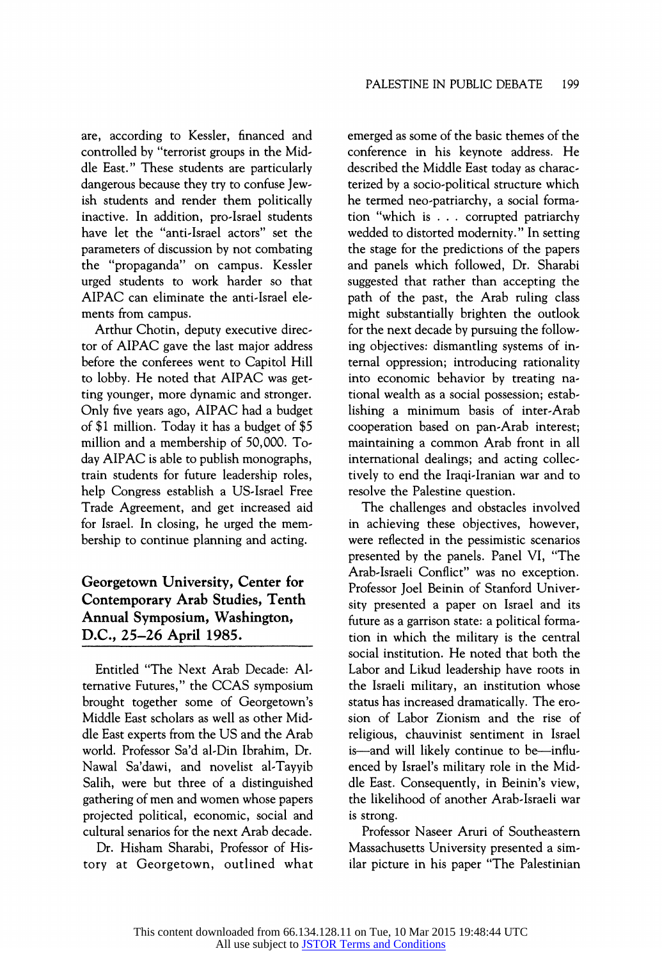are, according to Kessler, financed and controlled by "terrorist groups in the Middle East." These students are particularly dangerous because they try to confuse Jewish students and render them politically inactive. In addition, pro-Israel students have let the "anti-Israel actors" set the parameters of discussion by not combating the "propaganda" on campus. Kessler urged students to work harder so that AIPAC can eliminate the anti-Israel elements from campus.

Arthur Chotin, deputy executive director of AIPAC gave the last major address before the conferees went to Capitol Hill to lobby. He noted that AIPAC was getting younger, more dynamic and stronger. Only five years ago, AIPAC had a budget of \$1 million. Today it has a budget of \$5 million and a membership of 50,000. Today AIPAC is able to publish monographs, train students for future leadership roles, help Congress establish a US-Israel Free Trade Agreement, and get increased aid for Israel. In closing, he urged the membership to continue planning and acting.

## Georgetown University, Center for Contemporary Arab Studies, Tenth Annual Symposium, Washington, D.C., 25-26 April 1985.

Entitled "The Next Arab Decade: Alternative Futures," the CCAS symposium brought together some of Georgetown's Middle East scholars as well as other Middle East experts from the US and the Arab world. Professor Sa'd al-Din Ibrahim, Dr. Nawal Sa'dawi, and novelist al-Tayyib Salih, were but three of a distinguished gathering of men and women whose papers projected political, economic, social and cultural senarios for the next Arab decade.

Dr. Hisham Sharabi, Professor of History at Georgetown, outlined what emerged as some of the basic themes of the conference in his keynote address. He described the Middle East today as characterized by a socio-political structure which he termed neo-patriarchy, a social formation "which is . . . corrupted patriarchy wedded to distorted modernity." In setting the stage for the predictions of the papers and panels which followed, Dr. Sharabi suggested that rather than accepting the path of the past, the Arab ruling class might substantially brighten the outlook for the next decade by pursuing the following objectives: dismantling systems of internal oppression; introducing rationality into economic behavior by treating national wealth as a social possession; establishing a minimum basis of inter-Arab cooperation based on pan-Arab interest; maintaining a common Arab front in all international dealings; and acting collectively to end the Iraqi-Iranian war and to resolve the Palestine question.

The challenges and obstacles involved in achieving these objectives, however, were reflected in the pessimistic scenarios presented by the panels. Panel VI, "The Arab-Israeli Conflict" was no exception. Professor Joel Beinin of Stanford University presented a paper on Israel and its future as a garrison state: a political formation in which the military is the central social institution. He noted that both the Labor and Likud leadership have roots in the Israeli military, an institution whose status has increased dramatically. The erosion of Labor Zionism and the rise of religious, chauvinist sentiment in Israel is-and will likely continue to be-influenced by Israel's military role in the Middle East. Consequently, in Beinin's view, the likelihood of another Arab-Israeli war is strong.

Professor Naseer Aruri of Southeastern Massachusetts University presented a similar picture in his paper "The Palestinian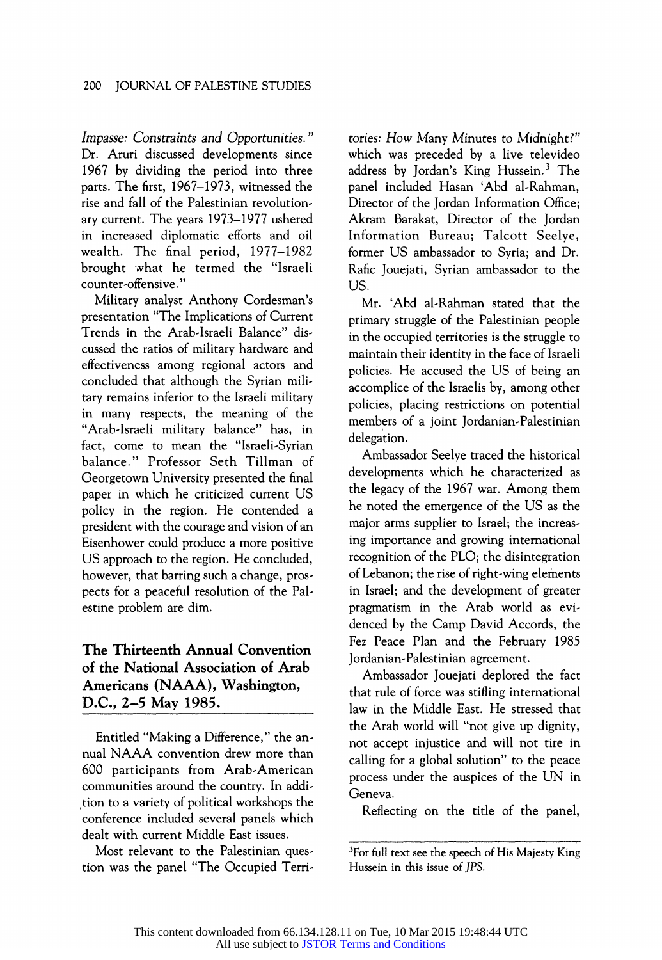Impasse: Constraints and Opportunities." Dr. Aruri discussed developments since 1967 by dividing the period into three parts. The first, 1967-1973, witnessed the rise and fall of the Palestinian revolutionary current. The years 1973-1977 ushered in increased diplomatic efforts and oil wealth. The final period, 1977-1982 brought what he termed the "Israeli counter-offensive. "

Military analyst Anthony Cordesman's presentation "The Implications of Current Trends in the Arab-Israeli Balance" discussed the ratios of military hardware and effectiveness among regional actors and concluded that although the Syrian military remains inferior to the Israeli military in many respects, the meaning of the "Arab-Israeli military balance" has, in fact, come to mean the "Israeli-Syrian balance." Professor Seth Tillman of Georgetown University presented the final paper in which he criticized current US policy in the region. He contended a president with the courage and vision of an Eisenhower could produce a more positive US approach to the region. He concluded, however, that barring such a change, prospects for a peaceful resolution of the Palestine problem are dim.

## The Thirteenth Annual Convention of the National Association of Arab Americans (NAAA), Washington, D.C., 2-5 May 1985.

Entitled "Making a Difference," the annual NAAA convention drew more than 600 participants from Arab-American communities around the country. In addition to a variety of political workshops the conference included several panels which dealt with current Middle East issues.

Most relevant to the Palestinian question was the panel "The Occupied Terri-

tories: How Many Minutes to Midnight?" which was preceded by a live televideo address by Jordan's King Hussein.<sup>3</sup> The panel included Hasan 'Abd al-Rahman, Director of the Jordan Information Office; Akram Barakat, Director of the Jordan Information Bureau; Talcott Seelye, former US ambassador to Syria; and Dr. Rafic Jouejati, Syrian ambassador to the US.

Mr. 'Abd al-Rahman stated that the primary struggle of the Palestinian people in the occupied territories is the struggle to maintain their identity in the face of Israeli policies. He accused the US of being an accomplice of the Israelis by, among other policies, placing restrictions on potential members of a joint Jordanian-Palestinian delegation.

Ambassador Seelye traced the historical developments which he characterized as the legacy of the 1967 war. Among them he noted the emergence of the US as the major arms supplier to Israel; the increasing importance and growing international recognition of the PLO; the disintegration of Lebanon; the rise of right-wing elements in Israel; and the development of greater pragmatism in the Arab world as evidenced by the Camp David Accords, the Fez Peace Plan and the February 1985 Jordanian-Palestinian agreement.

Ambassador Jouejati deplored the fact that rule of force was stifling international law in the Middle East. He stressed that the Arab world will "not give up dignity, not accept injustice and will not tire in calling for a global solution" to the peace process under the auspices of the UN in Geneva.

Reflecting on the title of the panel,

<sup>3</sup>For full text see the speech of His Majesty King Hussein in this issue of JPS.